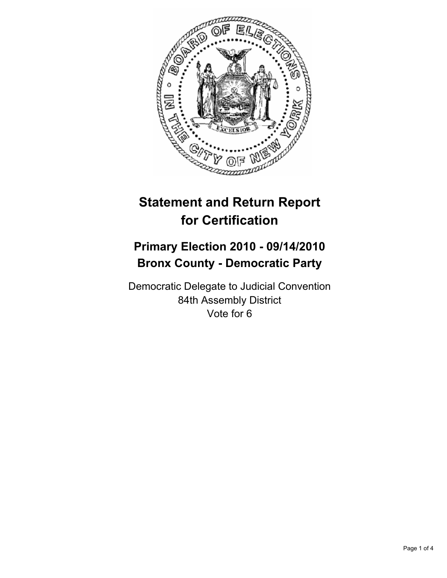

# **Statement and Return Report for Certification**

## **Primary Election 2010 - 09/14/2010 Bronx County - Democratic Party**

Democratic Delegate to Judicial Convention 84th Assembly District Vote for 6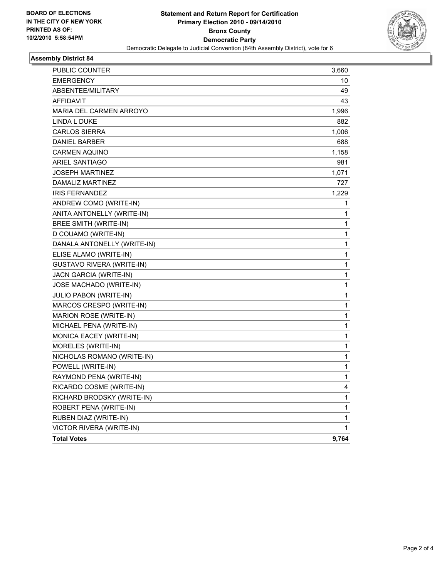

### **Assembly District 84**

| PUBLIC COUNTER              | 3,660        |
|-----------------------------|--------------|
| EMERGENCY                   | 10           |
| ABSENTEE/MILITARY           | 49           |
| <b>AFFIDAVIT</b>            | 43           |
| MARIA DEL CARMEN ARROYO     | 1,996        |
| LINDA L DUKE                | 882          |
| <b>CARLOS SIERRA</b>        | 1,006        |
| DANIEL BARBER               | 688          |
| <b>CARMEN AQUINO</b>        | 1,158        |
| <b>ARIEL SANTIAGO</b>       | 981          |
| JOSEPH MARTINEZ             | 1,071        |
| DAMALIZ MARTINEZ            | 727          |
| <b>IRIS FERNANDEZ</b>       | 1,229        |
| ANDREW COMO (WRITE-IN)      | 1            |
| ANITA ANTONELLY (WRITE-IN)  | 1            |
| BREE SMITH (WRITE-IN)       | 1            |
| D COUAMO (WRITE-IN)         | 1            |
| DANALA ANTONELLY (WRITE-IN) | 1            |
| ELISE ALAMO (WRITE-IN)      | 1            |
| GUSTAVO RIVERA (WRITE-IN)   | 1            |
| JACN GARCIA (WRITE-IN)      | 1            |
| JOSE MACHADO (WRITE-IN)     | 1            |
| JULIO PABON (WRITE-IN)      | 1            |
| MARCOS CRESPO (WRITE-IN)    | $\mathbf{1}$ |
| MARION ROSE (WRITE-IN)      | $\mathbf{1}$ |
| MICHAEL PENA (WRITE-IN)     | 1            |
| MONICA EACEY (WRITE-IN)     | 1            |
| MORELES (WRITE-IN)          | 1            |
| NICHOLAS ROMANO (WRITE-IN)  | 1            |
| POWELL (WRITE-IN)           | 1            |
| RAYMOND PENA (WRITE-IN)     | 1            |
| RICARDO COSME (WRITE-IN)    | 4            |
| RICHARD BRODSKY (WRITE-IN)  | 1            |
| ROBERT PENA (WRITE-IN)      | 1            |
| RUBEN DIAZ (WRITE-IN)       | 1            |
| VICTOR RIVERA (WRITE-IN)    | 1            |
| <b>Total Votes</b>          | 9,764        |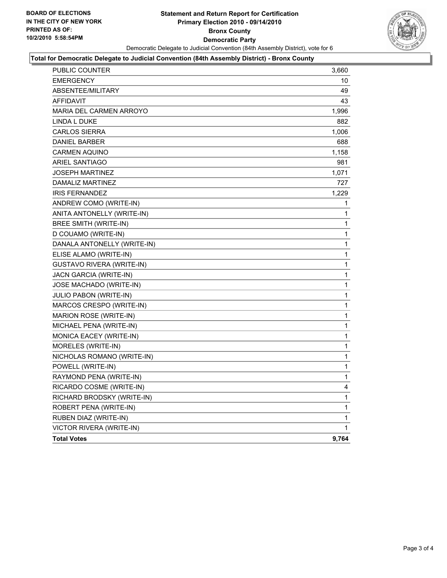

#### **Total for Democratic Delegate to Judicial Convention (84th Assembly District) - Bronx County**

| PUBLIC COUNTER                   | 3,660        |
|----------------------------------|--------------|
| <b>EMERGENCY</b>                 | 10           |
| ABSENTEE/MILITARY                | 49           |
| <b>AFFIDAVIT</b>                 | 43           |
| MARIA DEL CARMEN ARROYO          | 1,996        |
| <b>LINDA L DUKE</b>              | 882          |
| <b>CARLOS SIERRA</b>             | 1,006        |
| <b>DANIEL BARBER</b>             | 688          |
| <b>CARMEN AQUINO</b>             | 1,158        |
| <b>ARIEL SANTIAGO</b>            | 981          |
| JOSEPH MARTINEZ                  | 1,071        |
| DAMALIZ MARTINEZ                 | 727          |
| <b>IRIS FERNANDEZ</b>            | 1,229        |
| ANDREW COMO (WRITE-IN)           | 1            |
| ANITA ANTONELLY (WRITE-IN)       | 1            |
| <b>BREE SMITH (WRITE-IN)</b>     | 1            |
| D COUAMO (WRITE-IN)              | 1            |
| DANALA ANTONELLY (WRITE-IN)      | 1            |
| ELISE ALAMO (WRITE-IN)           | 1            |
| <b>GUSTAVO RIVERA (WRITE-IN)</b> | $\mathbf 1$  |
| JACN GARCIA (WRITE-IN)           | 1            |
| JOSE MACHADO (WRITE-IN)          | 1            |
| JULIO PABON (WRITE-IN)           | 1            |
| MARCOS CRESPO (WRITE-IN)         | 1            |
| MARION ROSE (WRITE-IN)           | 1            |
| MICHAEL PENA (WRITE-IN)          | 1            |
| MONICA EACEY (WRITE-IN)          | 1            |
| MORELES (WRITE-IN)               | 1            |
| NICHOLAS ROMANO (WRITE-IN)       | 1            |
| POWELL (WRITE-IN)                | 1            |
| RAYMOND PENA (WRITE-IN)          | $\mathbf{1}$ |
| RICARDO COSME (WRITE-IN)         | 4            |
| RICHARD BRODSKY (WRITE-IN)       | 1            |
| ROBERT PENA (WRITE-IN)           | $\mathbf{1}$ |
| RUBEN DIAZ (WRITE-IN)            | 1            |
| VICTOR RIVERA (WRITE-IN)         | $\mathbf{1}$ |
| <b>Total Votes</b>               | 9,764        |